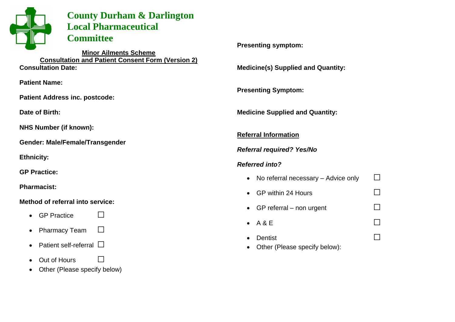

# **County Durham & Darlington Local Pharmaceutical Committee**

**Minor Ailments Scheme Consultation and Patient Consent Form (Version 2) Consultation Date:**

**Patient Name:**

**Patient Address inc. postcode:**

**Date of Birth:**

**NHS Number (if known):**

**Gender: Male/Female/Transgender**

**Ethnicity:**

**GP Practice:**

**Pharmacist:**

#### **Method of referral into service:**

- GP Practice  $□$
- Pharmacy Team  $□$
- Patient self-referral  $\square$
- Out of Hours □
- Other (Please specify below)

**Presenting symptom:**

**Medicine(s) Supplied and Quantity:**

**Presenting Symptom:**

**Medicine Supplied and Quantity:**

## **Referral Information**

*Referral required? Yes/No*

## *Referred into?*

- No referral necessary Advice only  $\Box$
- GP within 24 Hours  $\Box$
- GP referral non urgent  $□$
- $\bullet$  A & E  $\qquad \qquad \Box$
- Dentist □
- Other (Please specify below):